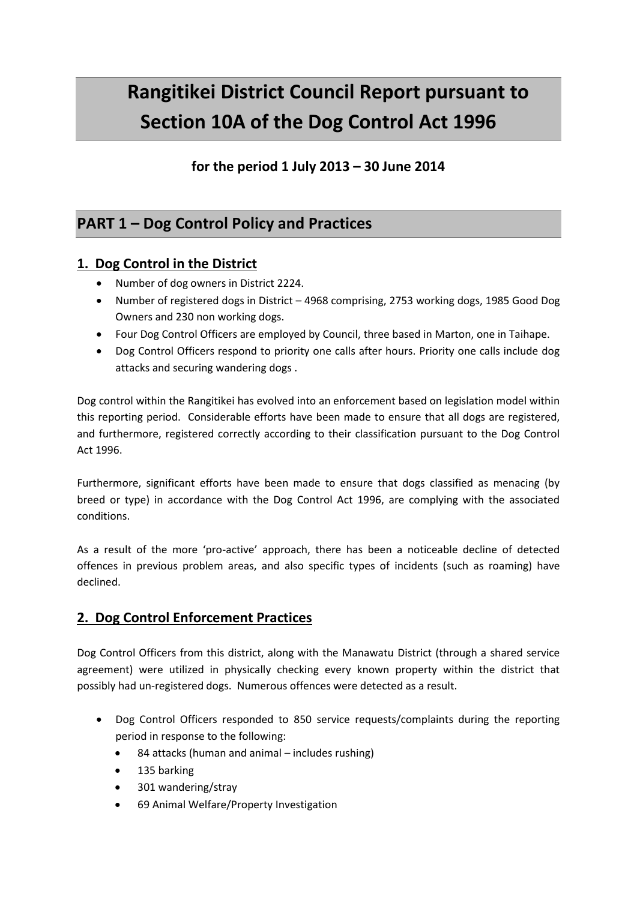# **Rangitikei District Council Report pursuant to Section 10A of the Dog Control Act 1996**

## **for the period 1 July 2013 – 30 June 2014**

# **PART 1 – Dog Control Policy and Practices**

#### **1. Dog Control in the District**

- Number of dog owners in District 2224.
- Number of registered dogs in District 4968 comprising, 2753 working dogs, 1985 Good Dog Owners and 230 non working dogs.
- Four Dog Control Officers are employed by Council, three based in Marton, one in Taihape.
- Dog Control Officers respond to priority one calls after hours. Priority one calls include dog attacks and securing wandering dogs .

Dog control within the Rangitikei has evolved into an enforcement based on legislation model within this reporting period. Considerable efforts have been made to ensure that all dogs are registered, and furthermore, registered correctly according to their classification pursuant to the Dog Control Act 1996.

Furthermore, significant efforts have been made to ensure that dogs classified as menacing (by breed or type) in accordance with the Dog Control Act 1996, are complying with the associated conditions.

As a result of the more 'pro-active' approach, there has been a noticeable decline of detected offences in previous problem areas, and also specific types of incidents (such as roaming) have declined.

### **2. Dog Control Enforcement Practices**

Dog Control Officers from this district, along with the Manawatu District (through a shared service agreement) were utilized in physically checking every known property within the district that possibly had un-registered dogs. Numerous offences were detected as a result.

- Dog Control Officers responded to 850 service requests/complaints during the reporting period in response to the following:
	- 84 attacks (human and animal includes rushing)
	- 135 barking
	- 301 wandering/stray
	- 69 Animal Welfare/Property Investigation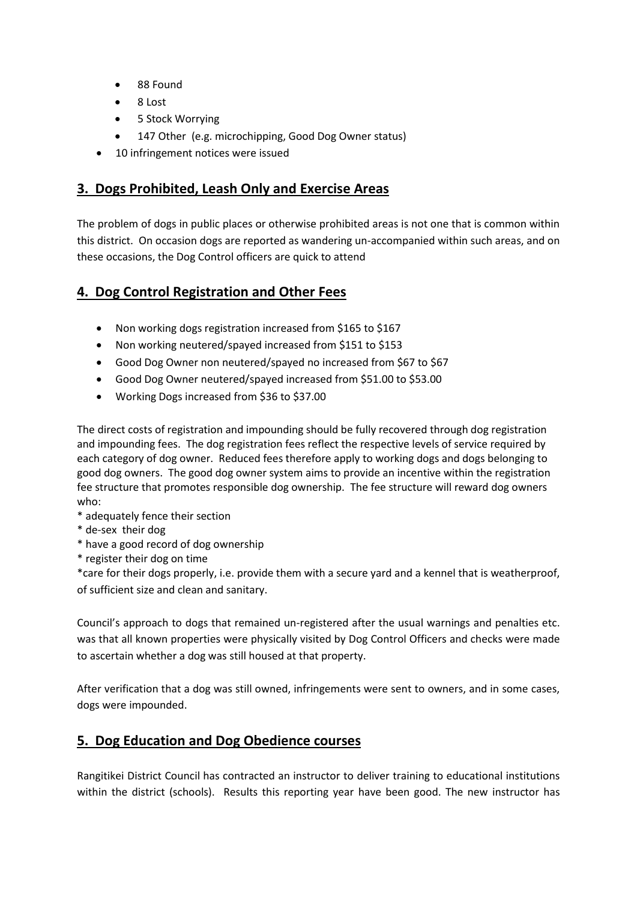- 88 Found
- 8 Lost
- 5 Stock Worrying
- 147 Other (e.g. microchipping, Good Dog Owner status)
- 10 infringement notices were issued

#### **3. Dogs Prohibited, Leash Only and Exercise Areas**

The problem of dogs in public places or otherwise prohibited areas is not one that is common within this district. On occasion dogs are reported as wandering un-accompanied within such areas, and on these occasions, the Dog Control officers are quick to attend

#### **4. Dog Control Registration and Other Fees**

- Non working dogs registration increased from \$165 to \$167
- Non working neutered/spayed increased from \$151 to \$153
- Good Dog Owner non neutered/spayed no increased from \$67 to \$67
- Good Dog Owner neutered/spayed increased from \$51.00 to \$53.00
- Working Dogs increased from \$36 to \$37.00

The direct costs of registration and impounding should be fully recovered through dog registration and impounding fees. The dog registration fees reflect the respective levels of service required by each category of dog owner. Reduced fees therefore apply to working dogs and dogs belonging to good dog owners. The good dog owner system aims to provide an incentive within the registration fee structure that promotes responsible dog ownership. The fee structure will reward dog owners who:

- \* adequately fence their section
- \* de-sex their dog
- \* have a good record of dog ownership
- \* register their dog on time

\*care for their dogs properly, i.e. provide them with a secure yard and a kennel that is weatherproof, of sufficient size and clean and sanitary.

Council's approach to dogs that remained un-registered after the usual warnings and penalties etc. was that all known properties were physically visited by Dog Control Officers and checks were made to ascertain whether a dog was still housed at that property.

After verification that a dog was still owned, infringements were sent to owners, and in some cases, dogs were impounded.

#### **5. Dog Education and Dog Obedience courses**

Rangitikei District Council has contracted an instructor to deliver training to educational institutions within the district (schools). Results this reporting year have been good. The new instructor has